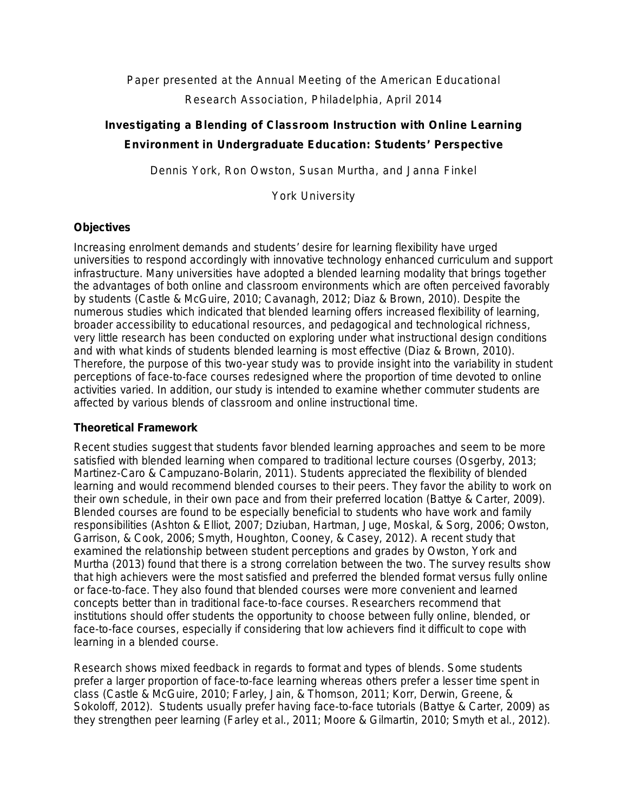# Paper presented at the Annual Meeting of the American Educational Research Association, Philadelphia, April 2014

# **Investigating a Blending of Classroom Instruction with Online Learning Environment in Undergraduate Education: Students' Perspective**

Dennis York, Ron Owston, Susan Murtha, and Janna Finkel

York University

## **Objectives**

Increasing enrolment demands and students' desire for learning flexibility have urged universities to respond accordingly with innovative technology enhanced curriculum and support infrastructure. Many universities have adopted a blended learning modality that brings together the advantages of both online and classroom environments which are often perceived favorably by students (Castle & McGuire, 2010; Cavanagh, 2012; Diaz & Brown, 2010). Despite the numerous studies which indicated that blended learning offers increased flexibility of learning, broader accessibility to educational resources, and pedagogical and technological richness, very little research has been conducted on exploring under what instructional design conditions and with what kinds of students blended learning is most effective (Diaz & Brown, 2010). Therefore, the purpose of this two-year study was to provide insight into the variability in student perceptions of face-to-face courses redesigned where the proportion of time devoted to online activities varied. In addition, our study is intended to examine whether commuter students are affected by various blends of classroom and online instructional time.

### **Theoretical Framework**

Recent studies suggest that students favor blended learning approaches and seem to be more satisfied with blended learning when compared to traditional lecture courses (Osgerby, 2013; Martinez-Caro & Campuzano-Bolarin, 2011). Students appreciated the flexibility of blended learning and would recommend blended courses to their peers. They favor the ability to work on their own schedule, in their own pace and from their preferred location (Battye & Carter, 2009). Blended courses are found to be especially beneficial to students who have work and family responsibilities (Ashton & Elliot, 2007; Dziuban, Hartman, Juge, Moskal, & Sorg, 2006; Owston, Garrison, & Cook, 2006; Smyth, Houghton, Cooney, & Casey, 2012). A recent study that examined the relationship between student perceptions and grades by Owston, York and Murtha (2013) found that there is a strong correlation between the two. The survey results show that high achievers were the most satisfied and preferred the blended format versus fully online or face-to-face. They also found that blended courses were more convenient and learned concepts better than in traditional face-to-face courses. Researchers recommend that institutions should offer students the opportunity to choose between fully online, blended, or face-to-face courses, especially if considering that low achievers find it difficult to cope with learning in a blended course.

Research shows mixed feedback in regards to format and types of blends. Some students prefer a larger proportion of face-to-face learning whereas others prefer a lesser time spent in class (Castle & McGuire, 2010; Farley, Jain, & Thomson, 2011; Korr, Derwin, Greene, & Sokoloff, 2012). Students usually prefer having face-to-face tutorials (Battye & Carter, 2009) as they strengthen peer learning (Farley et al., 2011; Moore & Gilmartin, 2010; Smyth et al., 2012).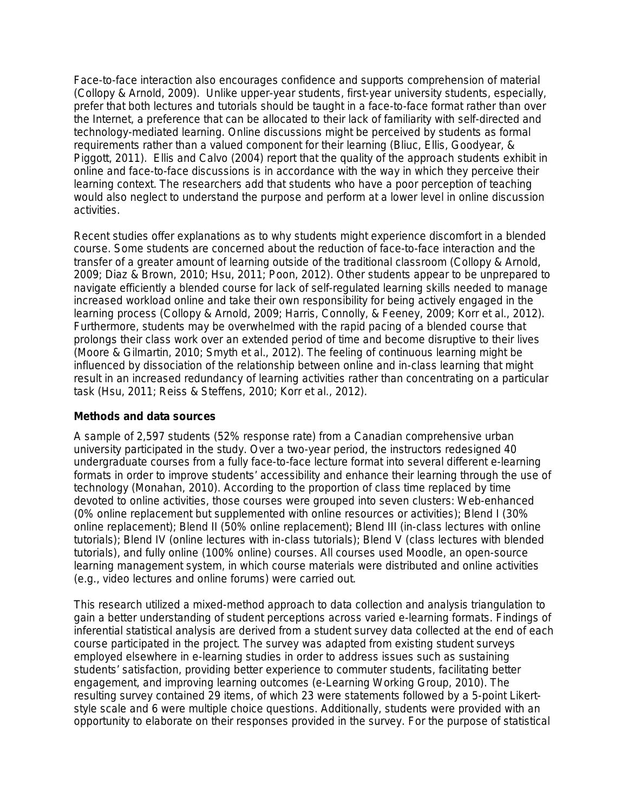Face-to-face interaction also encourages confidence and supports comprehension of material (Collopy & Arnold, 2009). Unlike upper-year students, first-year university students, especially, prefer that both lectures and tutorials should be taught in a face-to-face format rather than over the Internet, a preference that can be allocated to their lack of familiarity with self-directed and technology-mediated learning. Online discussions might be perceived by students as formal requirements rather than a valued component for their learning (Bliuc, Ellis, Goodyear, & Piggott, 2011). Ellis and Calvo (2004) report that the quality of the approach students exhibit in online and face-to-face discussions is in accordance with the way in which they perceive their learning context. The researchers add that students who have a poor perception of teaching would also neglect to understand the purpose and perform at a lower level in online discussion activities.

Recent studies offer explanations as to why students might experience discomfort in a blended course. Some students are concerned about the reduction of face-to-face interaction and the transfer of a greater amount of learning outside of the traditional classroom (Collopy & Arnold, 2009; Diaz & Brown, 2010; Hsu, 2011; Poon, 2012). Other students appear to be unprepared to navigate efficiently a blended course for lack of self-regulated learning skills needed to manage increased workload online and take their own responsibility for being actively engaged in the learning process (Collopy & Arnold, 2009; Harris, Connolly, & Feeney, 2009; Korr et al., 2012). Furthermore, students may be overwhelmed with the rapid pacing of a blended course that prolongs their class work over an extended period of time and become disruptive to their lives (Moore & Gilmartin, 2010; Smyth et al., 2012). The feeling of continuous learning might be influenced by dissociation of the relationship between online and in-class learning that might result in an increased redundancy of learning activities rather than concentrating on a particular task (Hsu, 2011; Reiss & Steffens, 2010; Korr et al., 2012).

#### **Methods and data sources**

A sample of 2,597 students (52% response rate) from a Canadian comprehensive urban university participated in the study. Over a two-year period, the instructors redesigned 40 undergraduate courses from a fully face-to-face lecture format into several different e-learning formats in order to improve students' accessibility and enhance their learning through the use of technology (Monahan, 2010). According to the proportion of class time replaced by time devoted to online activities, those courses were grouped into seven clusters: Web-enhanced (0% online replacement but supplemented with online resources or activities); Blend I (30% online replacement); Blend II (50% online replacement); Blend III (in-class lectures with online tutorials); Blend IV (online lectures with in-class tutorials); Blend V (class lectures with blended tutorials), and fully online (100% online) courses. All courses used Moodle, an open-source learning management system, in which course materials were distributed and online activities (e.g., video lectures and online forums) were carried out.

This research utilized a mixed-method approach to data collection and analysis triangulation to gain a better understanding of student perceptions across varied e-learning formats. Findings of inferential statistical analysis are derived from a student survey data collected at the end of each course participated in the project. The survey was adapted from existing student surveys employed elsewhere in e-learning studies in order to address issues such as sustaining students' satisfaction, providing better experience to commuter students, facilitating better engagement, and improving learning outcomes (e-Learning Working Group, 2010). The resulting survey contained 29 items, of which 23 were statements followed by a 5-point Likertstyle scale and 6 were multiple choice questions. Additionally, students were provided with an opportunity to elaborate on their responses provided in the survey. For the purpose of statistical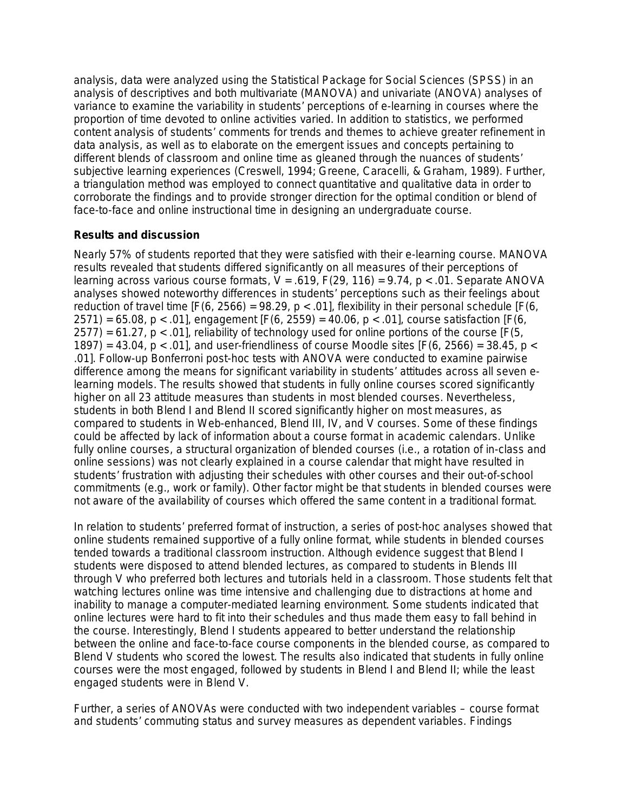analysis, data were analyzed using the Statistical Package for Social Sciences (SPSS) in an analysis of descriptives and both multivariate (MANOVA) and univariate (ANOVA) analyses of variance to examine the variability in students' perceptions of e-learning in courses where the proportion of time devoted to online activities varied. In addition to statistics, we performed content analysis of students' comments for trends and themes to achieve greater refinement in data analysis, as well as to elaborate on the emergent issues and concepts pertaining to different blends of classroom and online time as gleaned through the nuances of students' subjective learning experiences (Creswell, 1994; Greene, Caracelli, & Graham, 1989). Further, a triangulation method was employed to connect quantitative and qualitative data in order to corroborate the findings and to provide stronger direction for the optimal condition or blend of face-to-face and online instructional time in designing an undergraduate course.

## **Results and discussion**

Nearly 57% of students reported that they were satisfied with their e-learning course. MANOVA results revealed that students differed significantly on all measures of their perceptions of learning across various course formats, *V* = .619, *F*(29, 116) = 9.74, *p* < .01. Separate ANOVA analyses showed noteworthy differences in students' perceptions such as their feelings about reduction of travel time  $[F(6, 2566) = 98.29, p < .01]$ , flexibility in their personal schedule  $[F(6, 166) + 0.01]$ 2571) = 65.08, *p* < .01], engagement [*F*(6, 2559) = 40.06, *p* < .01], course satisfaction [*F*(6, 2577) = 61.27, *p* < .01], reliability of technology used for online portions of the course [*F*(5, 1897) = 43.04, *p* < .01], and user-friendliness of course Moodle sites [*F*(6, 2566) = 38.45, *p* < .01]. Follow-up Bonferroni post-hoc tests with ANOVA were conducted to examine pairwise difference among the means for significant variability in students' attitudes across all seven elearning models. The results showed that students in fully online courses scored significantly higher on all 23 attitude measures than students in most blended courses. Nevertheless, students in both Blend I and Blend II scored significantly higher on most measures, as compared to students in Web-enhanced, Blend III, IV, and V courses. Some of these findings could be affected by lack of information about a course format in academic calendars. Unlike fully online courses, a structural organization of blended courses (i.e., a rotation of in-class and online sessions) was not clearly explained in a course calendar that might have resulted in students' frustration with adjusting their schedules with other courses and their out-of-school commitments (e.g., work or family). Other factor might be that students in blended courses were not aware of the availability of courses which offered the same content in a traditional format.

In relation to students' preferred format of instruction, a series of post-hoc analyses showed that online students remained supportive of a fully online format, while students in blended courses tended towards a traditional classroom instruction. Although evidence suggest that Blend I students were disposed to attend blended lectures, as compared to students in Blends III through V who preferred both lectures and tutorials held in a classroom. Those students felt that watching lectures online was time intensive and challenging due to distractions at home and inability to manage a computer-mediated learning environment. Some students indicated that online lectures were hard to fit into their schedules and thus made them easy to fall behind in the course. Interestingly, Blend I students appeared to better understand the relationship between the online and face-to-face course components in the blended course, as compared to Blend V students who scored the lowest. The results also indicated that students in fully online courses were the most engaged, followed by students in Blend I and Blend II; while the least engaged students were in Blend V.

Further, a series of ANOVAs were conducted with two independent variables – course format and students' commuting status and survey measures as dependent variables. Findings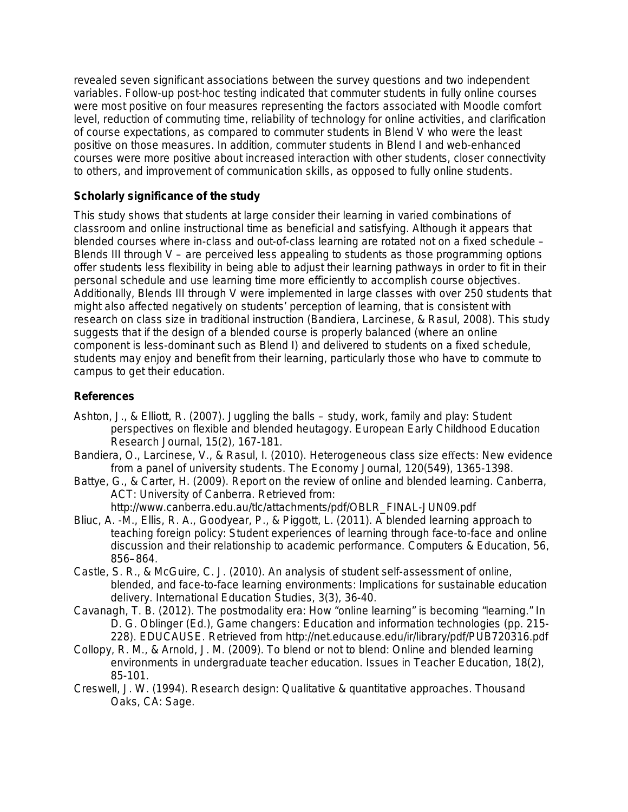revealed seven significant associations between the survey questions and two independent variables. Follow-up post-hoc testing indicated that commuter students in fully online courses were most positive on four measures representing the factors associated with Moodle comfort level, reduction of commuting time, reliability of technology for online activities, and clarification of course expectations, as compared to commuter students in Blend V who were the least positive on those measures. In addition, commuter students in Blend I and web-enhanced courses were more positive about increased interaction with other students, closer connectivity to others, and improvement of communication skills, as opposed to fully online students.

### **Scholarly significance of the study**

This study shows that students at large consider their learning in varied combinations of classroom and online instructional time as beneficial and satisfying. Although it appears that blended courses where in-class and out-of-class learning are rotated not on a fixed schedule – Blends III through  $V -$  are perceived less appealing to students as those programming options offer students less flexibility in being able to adjust their learning pathways in order to fit in their personal schedule and use learning time more efficiently to accomplish course objectives. Additionally, Blends III through V were implemented in large classes with over 250 students that might also affected negatively on students' perception of learning, that is consistent with research on class size in traditional instruction (Bandiera, Larcinese, & Rasul, 2008). This study suggests that if the design of a blended course is properly balanced (where an online component is less-dominant such as Blend I) and delivered to students on a fixed schedule, students may enjoy and benefit from their learning, particularly those who have to commute to campus to get their education.

## **References**

- Ashton, J., & Elliott, R. (2007). Juggling the balls study, work, family and play: Student perspectives on flexible and blended heutagogy. *European Early Childhood Education Research Journal, 15*(2), 167-181.
- Bandiera, O., Larcinese, V., & Rasul, I. (2010). Heterogeneous class size effects: New evidence from a panel of university students. *The Economy Journal, 120*(549), 1365-1398.
- Battye, G., & Carter, H. (2009). *Report on the review of online and blended learning.* Canberra, ACT: University of Canberra. Retrieved from:
	- http://www.canberra.edu.au/tlc/attachments/pdf/OBLR\_FINAL-JUN09.pdf
- Bliuc, A. -M., Ellis, R. A., Goodyear, P., & Piggott, L. (2011). A blended learning approach to teaching foreign policy: Student experiences of learning through face-to-face and online discussion and their relationship to academic performance. *Computers & Education, 56*, 856–864.
- Castle, S. R., & McGuire, C. J. (2010). An analysis of student self-assessment of online, blended, and face-to-face learning environments: Implications for sustainable education delivery. *International Education Studies, 3*(3), 36-40.
- Cavanagh, T. B. (2012). The postmodality era: How "online learning" is becoming "learning." In D. G. Oblinger (Ed.), *Game changers: Education and information technologies* (pp. 215- 228). EDUCAUSE. Retrieved from<http://net.educause.edu/ir/library/pdf/PUB720316.pdf>
- Collopy, R. M., & Arnold, J. M. (2009). To blend or not to blend: Online and blended learning environments in undergraduate teacher education. *Issues in Teacher Education, 18*(2), 85-101.
- Creswell, J. W. (1994). *Research design: Qualitative & quantitative approaches.* Thousand Oaks, CA: Sage.